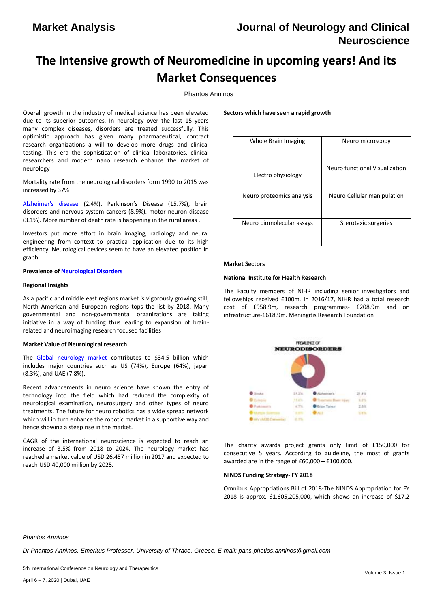# **The Intensive growth of Neuromedicine in upcoming years! And its Market Consequences**

Phantos Anninos

Overall growth in the industry of medical science has been elevated due to its superior outcomes. In neurology over the last 15 years many complex diseases, disorders are treated successfully. This optimistic approach has given many pharmaceutical, contract research organizations a will to develop more drugs and clinical testing. This era the sophistication of clinical laboratories, clinical researchers and modern nano research enhance the market of neurology

Mortality rate from the neurological disorders form 1990 to 2015 was increased by 37%

[Alzheimer's disease](https://neurology.cmesociety.com/) (2.4%), Parkinson's Disease (15.7%), brain disorders and nervous system cancers (8.9%). motor neuron disease (3.1%). More number of death rate is happening in the rural areas .

Investors put more effort in brain imaging, radiology and neural engineering from context to practical application due to its high efficiency. Neurological devices seem to have an elevated position in graph.

## **Prevalence o[f Neurological Disorders](https://neurology.cmesociety.com/)**

## **Regional Insights**

Asia pacific and middle east regions market is vigorously growing still, North American and European regions tops the list by 2018. Many governmental and non-governmental organizations are taking initiative in a way of funding thus leading to expansion of brainrelated and neuroimaging research focused facilities

## **Market Value of Neurological research**

The [Global neurology market](https://neurology.cmesociety.com/) contributes to \$34.5 billion which includes major countries such as US (74%), Europe (64%), japan (8.3%), and UAE (7.8%).

Recent advancements in neuro science have shown the entry of technology into the field which had reduced the complexity of neurological examination, neurosurgery and other types of neuro treatments. The future for neuro robotics has a wide spread network which will in turn enhance the robotic market in a supportive way and hence showing a steep rise in the market.

CAGR of the international neuroscience is expected to reach an increase of 3.5% from 2018 to 2024. The neurology market has reached a market value of USD 26,457 million in 2017 and expected to reach USD 40,000 million by 2025.

#### **Sectors which have seen a rapid growth**

| Whole Brain Imaging       | Neuro microscopy               |
|---------------------------|--------------------------------|
| Electro physiology        | Neuro functional Visualization |
| Neuro proteomics analysis | Neuro Cellular manipulation    |
| Neuro biomolecular assays | Sterotaxic surgeries           |

#### **Market Sectors**

## **National Institute for Health Research**

The Faculty members of NIHR including senior investigators and fellowships received £100m. In 2016/17, NIHR had a total research cost of £958.9m, research programmes- £208.9m and on infrastructure-£618.9m. Meningitis Research Foundation



The charity awards project grants only limit of £150,000 for consecutive 5 years. According to guideline, the most of grants awarded are in the range of £60,000 – £100,000.

## **NINDS Funding Strategy- FY 2018**

Omnibus Appropriations Bill of 2018-The NINDS Appropriation for FY 2018 is approx. \$1,605,205,000, which shows an increase of \$17.2

## *Phantos Anninos*

*Dr Phantos Anninos, Emeritus Professor, University of Thrace, Greece, E-mail: pans.photios.anninos@gmail.com*